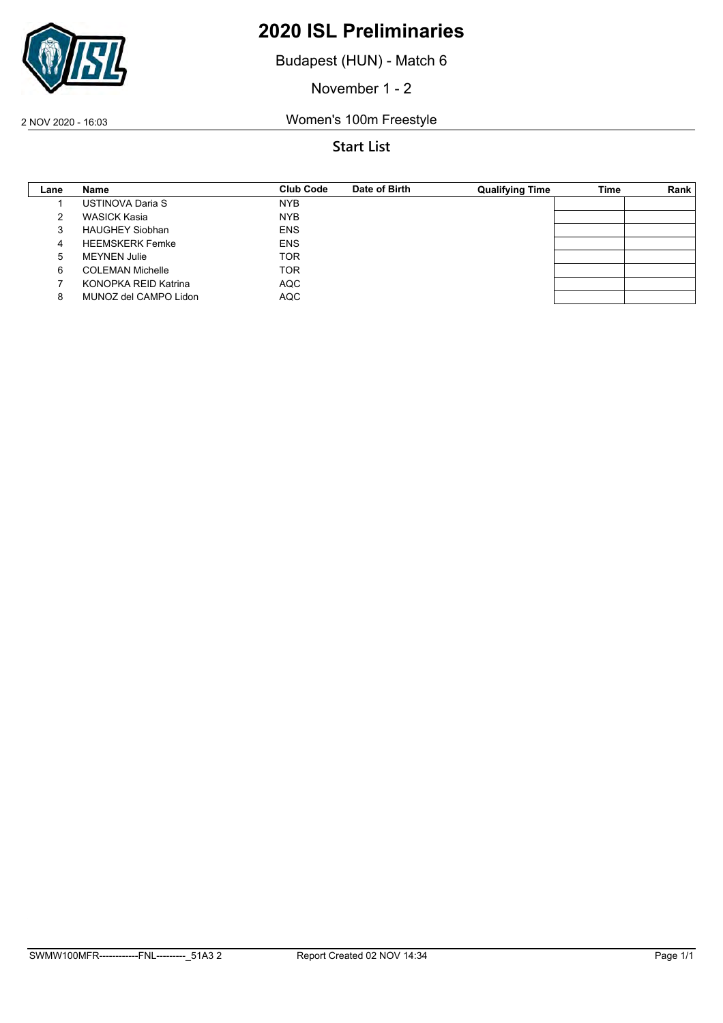

Budapest (HUN) - Match 6

November 1 - 2

2 NOV 2020 - 16:03 Women's 100m Freestyle

| Lane | Name                    | Club Code  | Date of Birth | <b>Qualifying Time</b> | <b>Time</b> | Rank |
|------|-------------------------|------------|---------------|------------------------|-------------|------|
|      | USTINOVA Daria S        | <b>NYB</b> |               |                        |             |      |
|      | WASICK Kasia            | <b>NYB</b> |               |                        |             |      |
|      | <b>HAUGHEY Siobhan</b>  | <b>ENS</b> |               |                        |             |      |
| 4    | <b>HEEMSKERK Femke</b>  | <b>ENS</b> |               |                        |             |      |
| 5    | <b>MEYNEN Julie</b>     | <b>TOR</b> |               |                        |             |      |
| 6    | <b>COLEMAN Michelle</b> | <b>TOR</b> |               |                        |             |      |
|      | KONOPKA REID Katrina    | AQC        |               |                        |             |      |
| 8    | MUNOZ del CAMPO Lidon   | <b>AQC</b> |               |                        |             |      |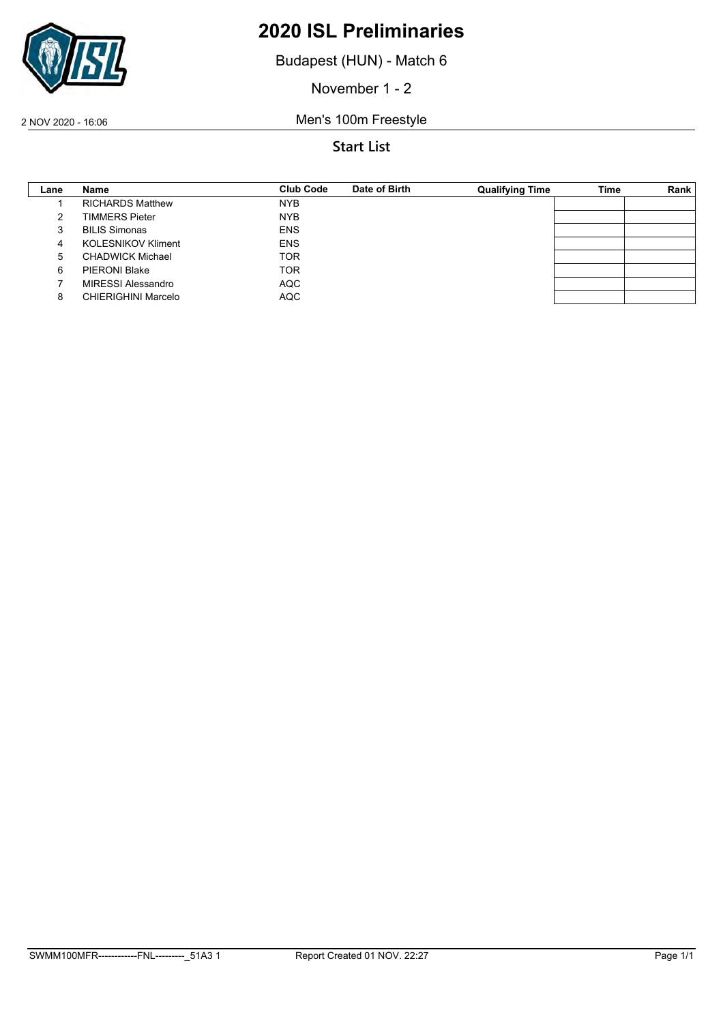

Budapest (HUN) - Match 6

November 1 - 2

2 NOV 2020 - 16:06 Men's 100m Freestyle

| Lane | Name                       | <b>Club Code</b> | Date of Birth | <b>Qualifying Time</b> | Time | Rank |
|------|----------------------------|------------------|---------------|------------------------|------|------|
|      | <b>RICHARDS Matthew</b>    | <b>NYB</b>       |               |                        |      |      |
|      | <b>TIMMERS Pieter</b>      | <b>NYB</b>       |               |                        |      |      |
|      | <b>BILIS Simonas</b>       | <b>ENS</b>       |               |                        |      |      |
| 4    | <b>KOLESNIKOV Kliment</b>  | <b>ENS</b>       |               |                        |      |      |
| 5    | <b>CHADWICK Michael</b>    | <b>TOR</b>       |               |                        |      |      |
| 6    | <b>PIERONI Blake</b>       | <b>TOR</b>       |               |                        |      |      |
|      | MIRESSI Alessandro         | <b>AQC</b>       |               |                        |      |      |
|      | <b>CHIERIGHINI Marcelo</b> | <b>AQC</b>       |               |                        |      |      |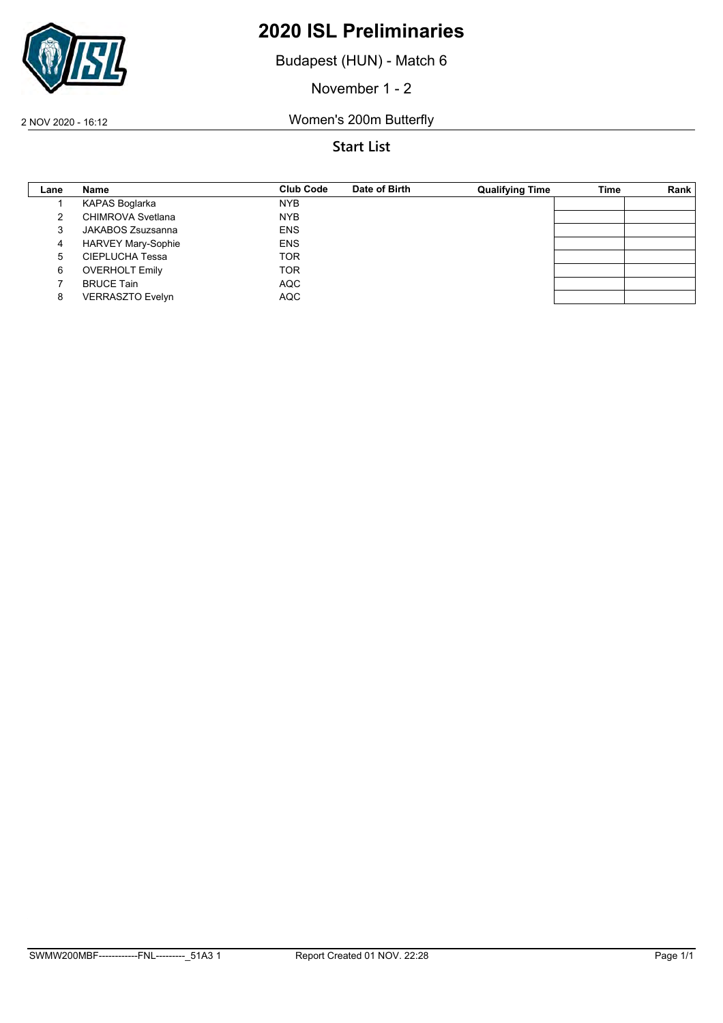

Budapest (HUN) - Match 6

November 1 - 2

2 NOV 2020 - 16:12 Women's 200m Butterfly

| Lane | Name                      | <b>Club Code</b> | Date of Birth | <b>Qualifying Time</b> | <b>Time</b> | Rank |
|------|---------------------------|------------------|---------------|------------------------|-------------|------|
|      | KAPAS Boglarka            | <b>NYB</b>       |               |                        |             |      |
|      | <b>CHIMROVA Svetlana</b>  | <b>NYB</b>       |               |                        |             |      |
|      | JAKABOS Zsuzsanna         | <b>ENS</b>       |               |                        |             |      |
| 4    | <b>HARVEY Mary-Sophie</b> | <b>ENS</b>       |               |                        |             |      |
| 5    | <b>CIEPLUCHA Tessa</b>    | <b>TOR</b>       |               |                        |             |      |
| 6    | <b>OVERHOLT Emily</b>     | <b>TOR</b>       |               |                        |             |      |
|      | <b>BRUCE Tain</b>         | <b>AQC</b>       |               |                        |             |      |
| 8    | <b>VERRASZTO Evelyn</b>   | <b>AQC</b>       |               |                        |             |      |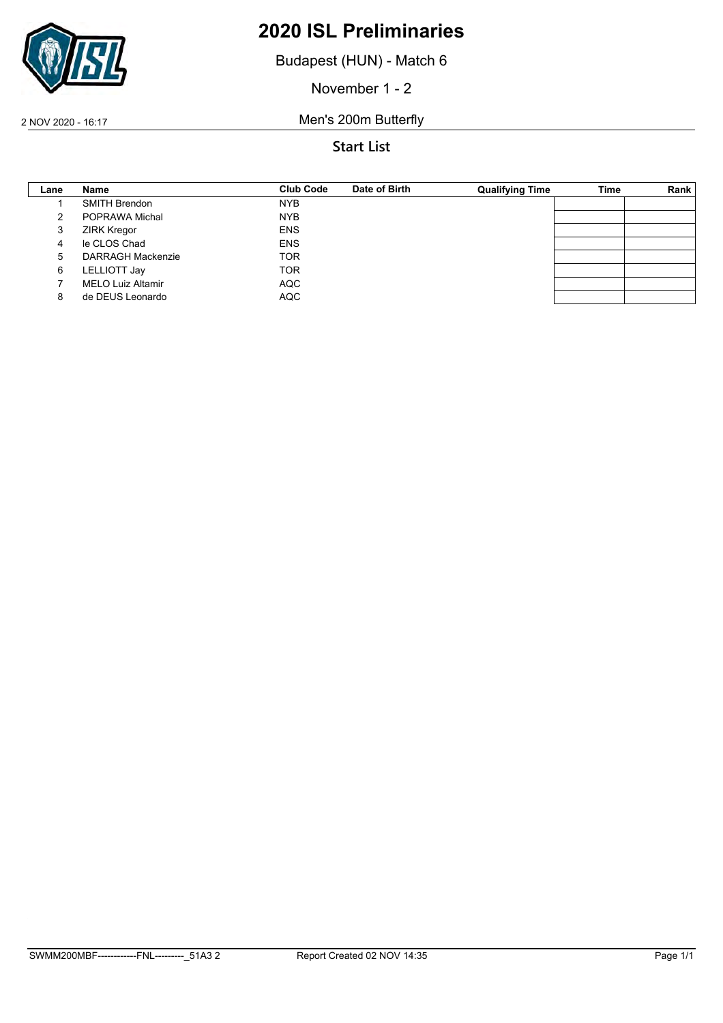

Budapest (HUN) - Match 6

November 1 - 2

2 NOV 2020 - 16:17 Men's 200m Butterfly

| Lane | Name                     | <b>Club Code</b> | Date of Birth | <b>Qualifying Time</b> | <b>Time</b> | Rank |
|------|--------------------------|------------------|---------------|------------------------|-------------|------|
|      | <b>SMITH Brendon</b>     | <b>NYB</b>       |               |                        |             |      |
|      | POPRAWA Michal           | <b>NYB</b>       |               |                        |             |      |
| 3    | <b>ZIRK Kregor</b>       | <b>ENS</b>       |               |                        |             |      |
| 4    | le CLOS Chad             | <b>ENS</b>       |               |                        |             |      |
| 5    | <b>DARRAGH Mackenzie</b> | <b>TOR</b>       |               |                        |             |      |
| 6    | LELLIOTT Jay             | <b>TOR</b>       |               |                        |             |      |
|      | <b>MELO Luiz Altamir</b> | <b>AQC</b>       |               |                        |             |      |
|      | de DEUS Leonardo         | <b>AQC</b>       |               |                        |             |      |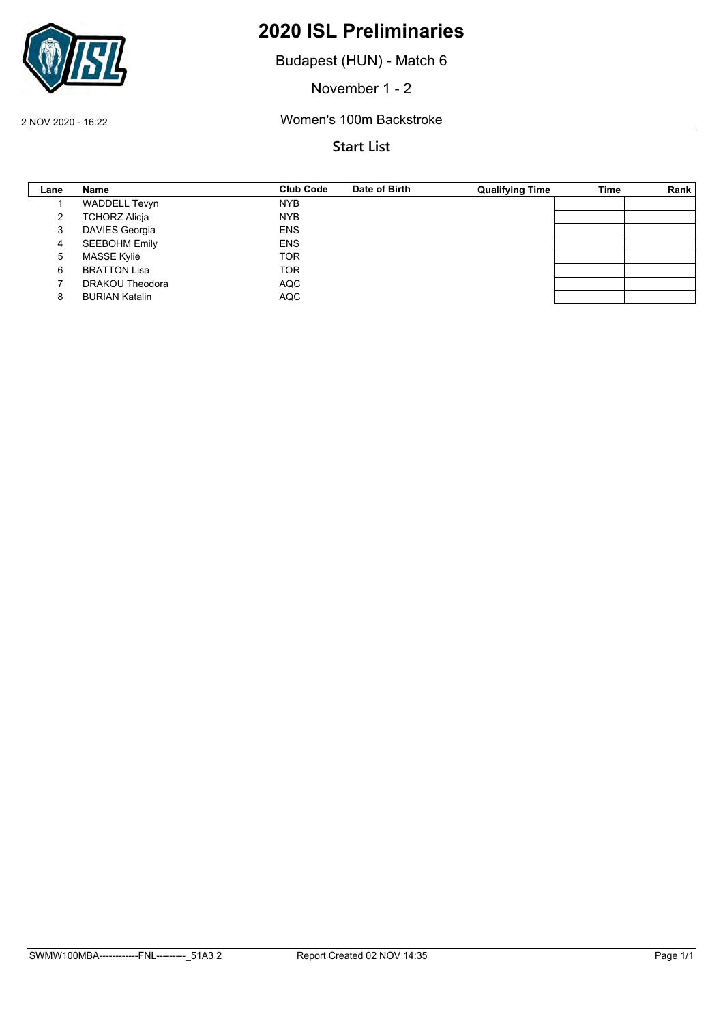

Budapest (HUN) - Match 6

November 1 - 2

2 NOV 2020 - 16:22 Women's 100m Backstroke

| Lane | Name                  | <b>Club Code</b> | Date of Birth | <b>Qualifying Time</b> | <b>Time</b> | Rank |
|------|-----------------------|------------------|---------------|------------------------|-------------|------|
|      | <b>WADDELL Tevyn</b>  | <b>NYB</b>       |               |                        |             |      |
|      | <b>TCHORZ Alicja</b>  | <b>NYB</b>       |               |                        |             |      |
| 3    | <b>DAVIES Georgia</b> | <b>ENS</b>       |               |                        |             |      |
| 4    | <b>SEEBOHM Emily</b>  | <b>ENS</b>       |               |                        |             |      |
| 5    | <b>MASSE Kylie</b>    | <b>TOR</b>       |               |                        |             |      |
| 6    | <b>BRATTON Lisa</b>   | <b>TOR</b>       |               |                        |             |      |
|      | DRAKOU Theodora       | <b>AQC</b>       |               |                        |             |      |
|      | <b>BURIAN Katalin</b> | <b>AQC</b>       |               |                        |             |      |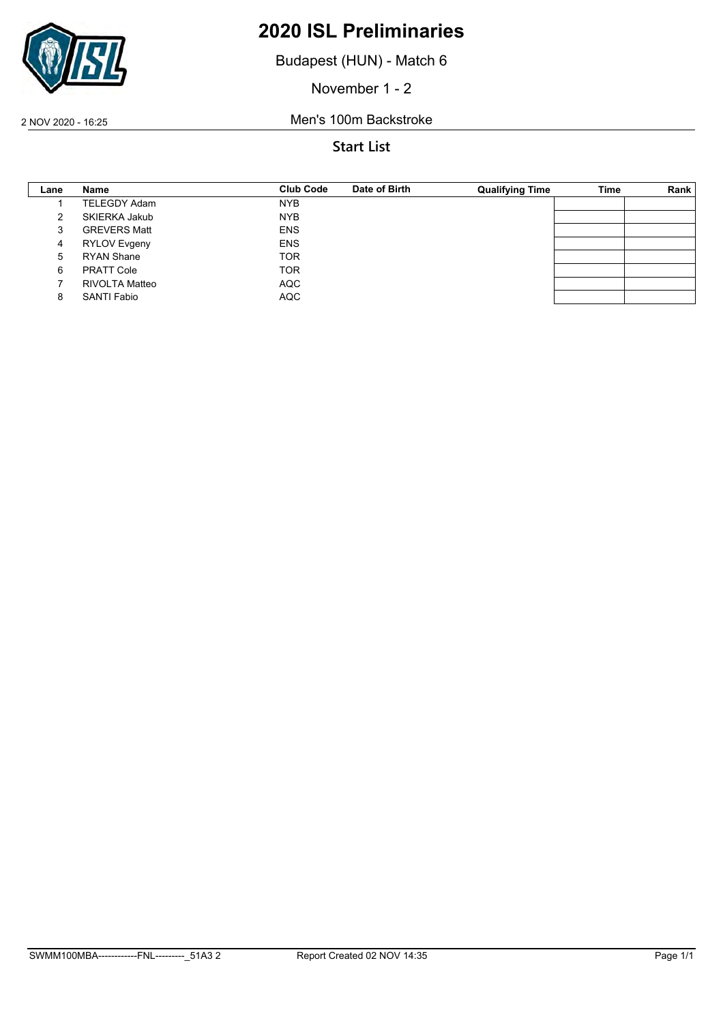

Budapest (HUN) - Match 6

November 1 - 2

2 NOV 2020 - 16:25 Men's 100m Backstroke

| Lane | Name                | <b>Club Code</b> | Date of Birth | <b>Qualifying Time</b> | Time | Rank |
|------|---------------------|------------------|---------------|------------------------|------|------|
|      | <b>TELEGDY Adam</b> | <b>NYB</b>       |               |                        |      |      |
|      | SKIERKA Jakub       | <b>NYB</b>       |               |                        |      |      |
| 3    | <b>GREVERS Matt</b> | <b>ENS</b>       |               |                        |      |      |
| 4    | RYLOV Evgeny        | <b>ENS</b>       |               |                        |      |      |
| 5    | <b>RYAN Shane</b>   | <b>TOR</b>       |               |                        |      |      |
| 6    | <b>PRATT Cole</b>   | <b>TOR</b>       |               |                        |      |      |
|      | RIVOLTA Matteo      | <b>AQC</b>       |               |                        |      |      |
|      | <b>SANTI Fabio</b>  | <b>AQC</b>       |               |                        |      |      |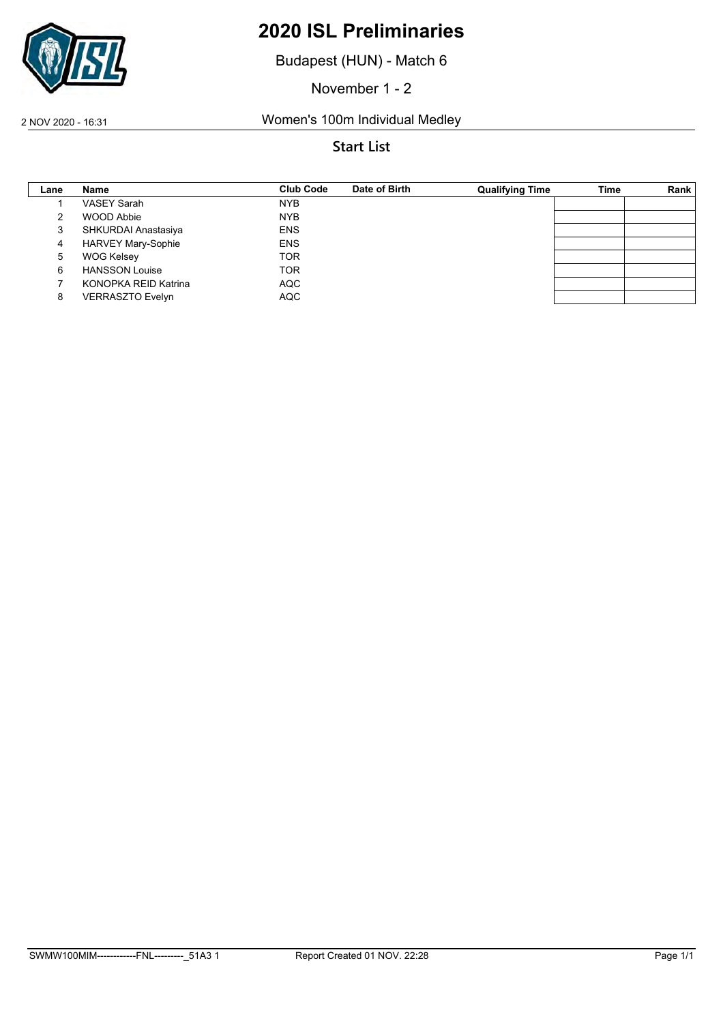

Budapest (HUN) - Match 6

November 1 - 2

2 NOV 2020 - 16:31 Women's 100m Individual Medley

| Lane | <b>Name</b>               | <b>Club Code</b> | Date of Birth | <b>Qualifying Time</b> | Time | Rank |
|------|---------------------------|------------------|---------------|------------------------|------|------|
|      | <b>VASEY Sarah</b>        | <b>NYB</b>       |               |                        |      |      |
|      | <b>WOOD Abbie</b>         | <b>NYB</b>       |               |                        |      |      |
| 3    | SHKURDAI Anastasiya       | <b>ENS</b>       |               |                        |      |      |
| 4    | <b>HARVEY Mary-Sophie</b> | <b>ENS</b>       |               |                        |      |      |
| 5    | <b>WOG Kelsey</b>         | <b>TOR</b>       |               |                        |      |      |
| 6    | <b>HANSSON Louise</b>     | <b>TOR</b>       |               |                        |      |      |
|      | KONOPKA REID Katrina      | <b>AQC</b>       |               |                        |      |      |
| 8    | <b>VERRASZTO Evelyn</b>   | <b>AQC</b>       |               |                        |      |      |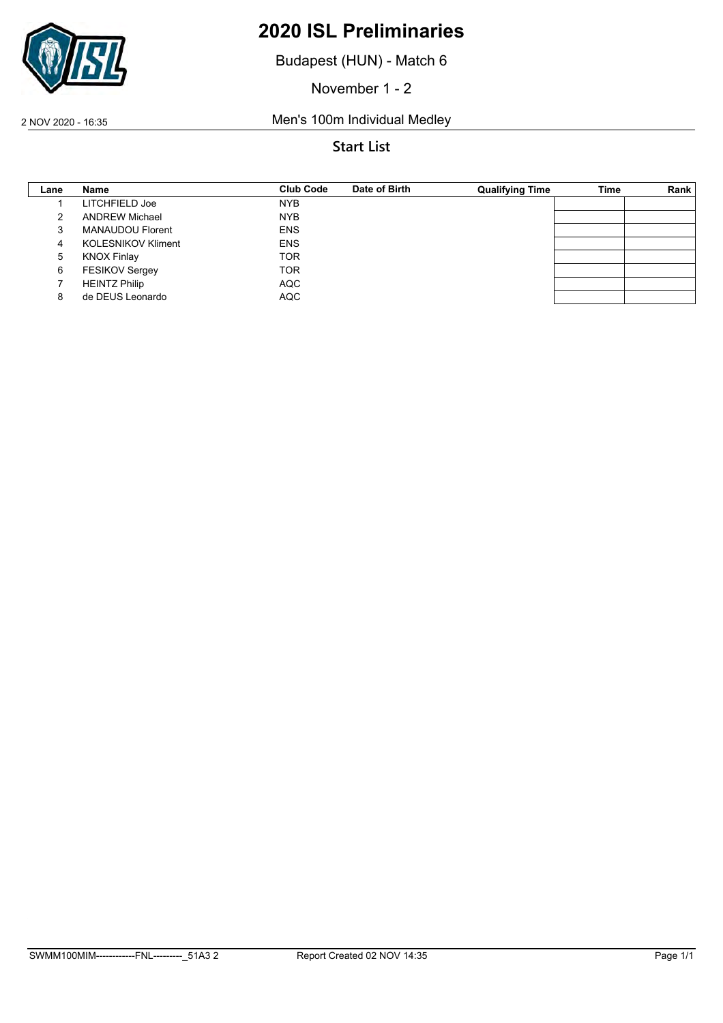

Budapest (HUN) - Match 6

November 1 - 2

2 NOV 2020 - 16:35 Men's 100m Individual Medley

| Lane | Name                      | <b>Club Code</b> | Date of Birth | <b>Qualifying Time</b> | Time | Rank |
|------|---------------------------|------------------|---------------|------------------------|------|------|
|      | LITCHFIELD Joe            | <b>NYB</b>       |               |                        |      |      |
|      | <b>ANDREW Michael</b>     | <b>NYB</b>       |               |                        |      |      |
|      | <b>MANAUDOU Florent</b>   | <b>ENS</b>       |               |                        |      |      |
| 4    | <b>KOLESNIKOV Kliment</b> | <b>ENS</b>       |               |                        |      |      |
| 5    | <b>KNOX Finlay</b>        | <b>TOR</b>       |               |                        |      |      |
| 6    | <b>FESIKOV Sergey</b>     | <b>TOR</b>       |               |                        |      |      |
|      | <b>HEINTZ Philip</b>      | <b>AQC</b>       |               |                        |      |      |
|      | de DEUS Leonardo          | <b>AQC</b>       |               |                        |      |      |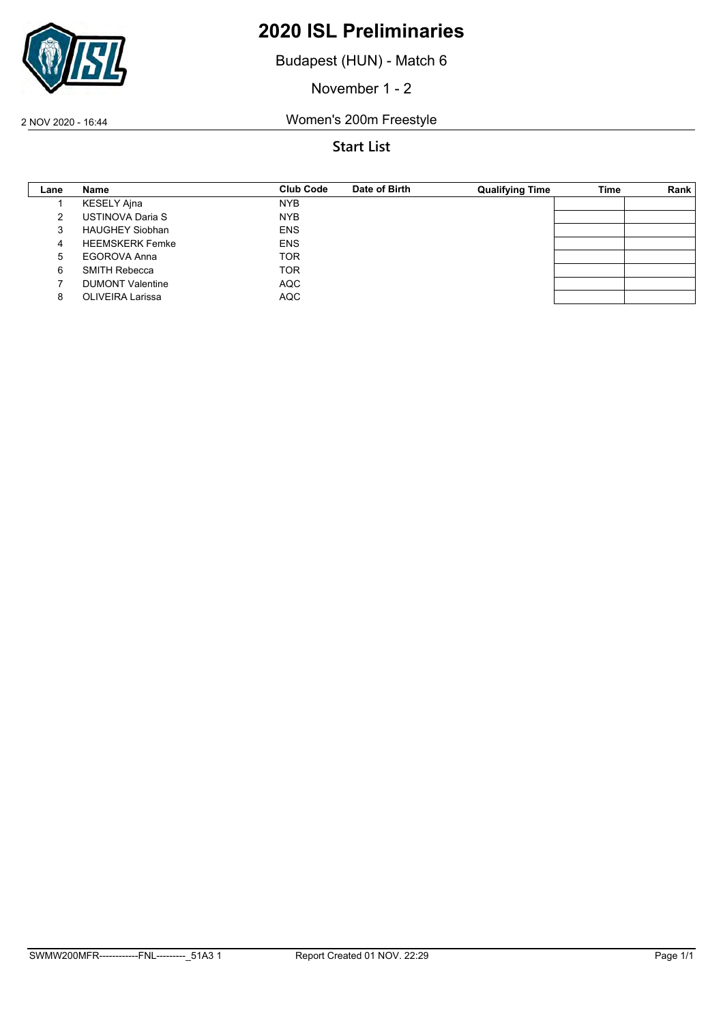

Budapest (HUN) - Match 6

November 1 - 2

2 NOV 2020 - 16:44 Women's 200m Freestyle

| Lane | Name                    | Club Code  | Date of Birth | <b>Qualifying Time</b> | <b>Time</b> | Rank |
|------|-------------------------|------------|---------------|------------------------|-------------|------|
|      | KESELY Ajna             | <b>NYB</b> |               |                        |             |      |
|      | USTINOVA Daria S        | <b>NYB</b> |               |                        |             |      |
| 3    | <b>HAUGHEY Siobhan</b>  | <b>ENS</b> |               |                        |             |      |
| 4    | <b>HEEMSKERK Femke</b>  | <b>ENS</b> |               |                        |             |      |
| 5    | EGOROVA Anna            | <b>TOR</b> |               |                        |             |      |
| 6    | <b>SMITH Rebecca</b>    | <b>TOR</b> |               |                        |             |      |
|      | <b>DUMONT Valentine</b> | AQC        |               |                        |             |      |
|      | <b>OLIVEIRA Larissa</b> | <b>AQC</b> |               |                        |             |      |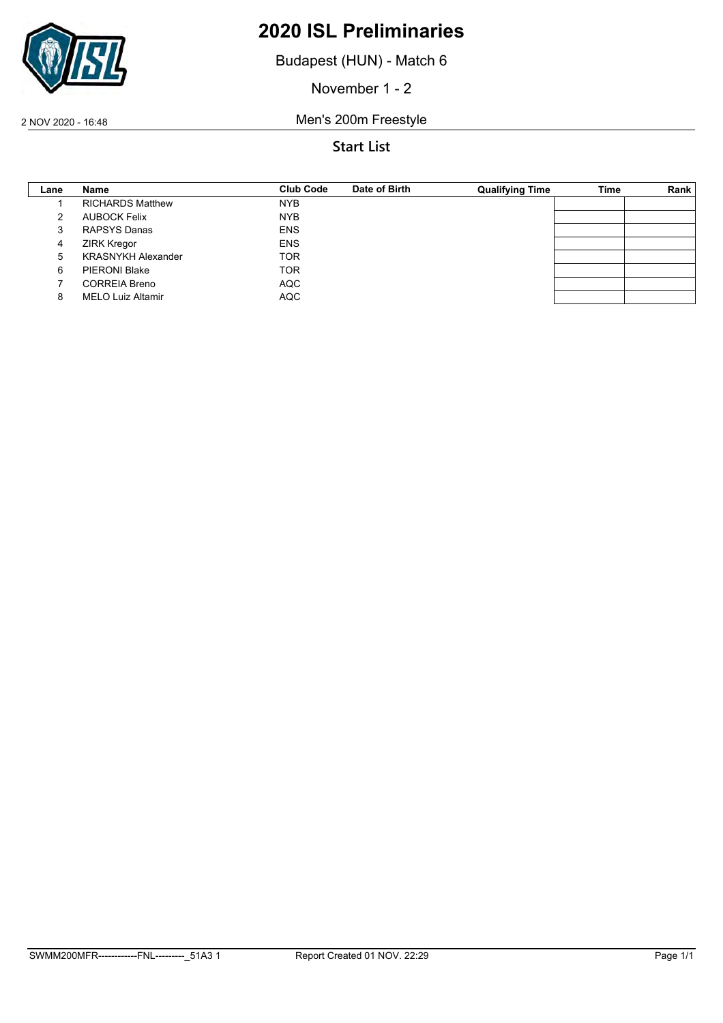

Budapest (HUN) - Match 6

November 1 - 2

2 NOV 2020 - 16:48 Men's 200m Freestyle

| Lane | Name                      | <b>Club Code</b> | Date of Birth | <b>Qualifying Time</b> | <b>Time</b> | Rank |
|------|---------------------------|------------------|---------------|------------------------|-------------|------|
|      | <b>RICHARDS Matthew</b>   | <b>NYB</b>       |               |                        |             |      |
|      | AUBOCK Felix              | <b>NYB</b>       |               |                        |             |      |
| 3    | RAPSYS Danas              | <b>ENS</b>       |               |                        |             |      |
| 4    | <b>ZIRK Kregor</b>        | <b>ENS</b>       |               |                        |             |      |
| 5    | <b>KRASNYKH Alexander</b> | <b>TOR</b>       |               |                        |             |      |
| 6    | <b>PIERONI Blake</b>      | <b>TOR</b>       |               |                        |             |      |
|      | <b>CORREIA Breno</b>      | <b>AQC</b>       |               |                        |             |      |
|      | <b>MELO Luiz Altamir</b>  | <b>AQC</b>       |               |                        |             |      |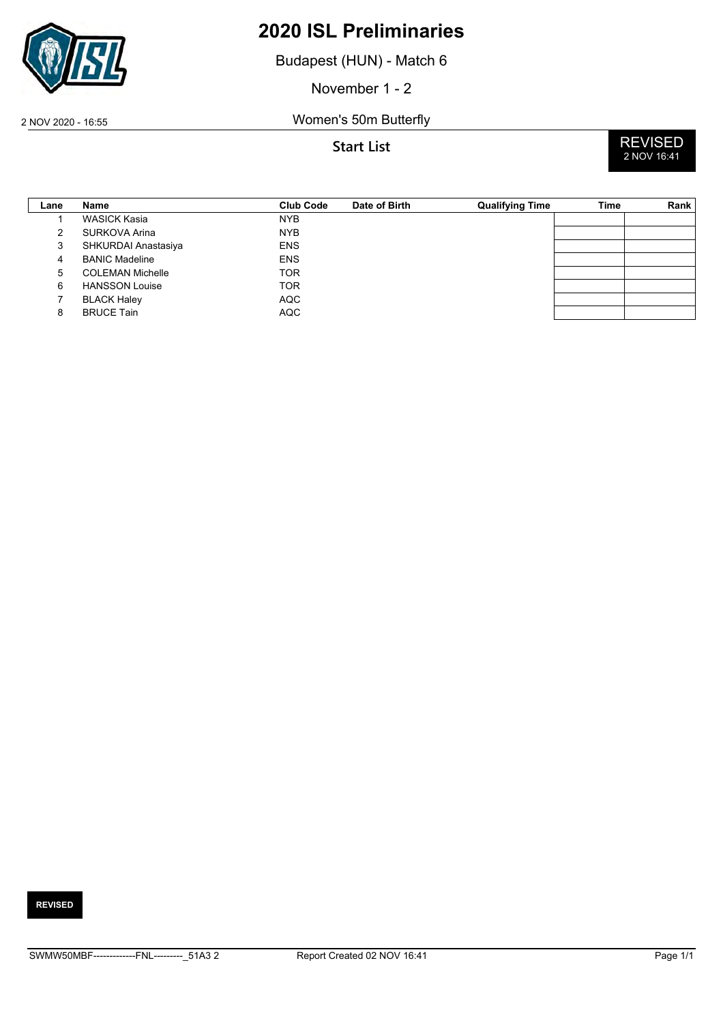

Budapest (HUN) - Match 6

November 1 - 2

2 NOV 2020 - 16:55 Women's 50m Butterfly



| Lane | Name                    | <b>Club Code</b> | Date of Birth | <b>Qualifying Time</b> | Time | Rank |
|------|-------------------------|------------------|---------------|------------------------|------|------|
|      | <b>WASICK Kasia</b>     | <b>NYB</b>       |               |                        |      |      |
|      | SURKOVA Arina           | <b>NYB</b>       |               |                        |      |      |
| 3    | SHKURDAI Anastasiya     | <b>ENS</b>       |               |                        |      |      |
| 4    | <b>BANIC Madeline</b>   | <b>ENS</b>       |               |                        |      |      |
| 5    | <b>COLEMAN Michelle</b> | <b>TOR</b>       |               |                        |      |      |
| 6    | <b>HANSSON Louise</b>   | <b>TOR</b>       |               |                        |      |      |
|      | <b>BLACK Haley</b>      | <b>AQC</b>       |               |                        |      |      |
| 8    | <b>BRUCE Tain</b>       | <b>AQC</b>       |               |                        |      |      |

#### **REVISED**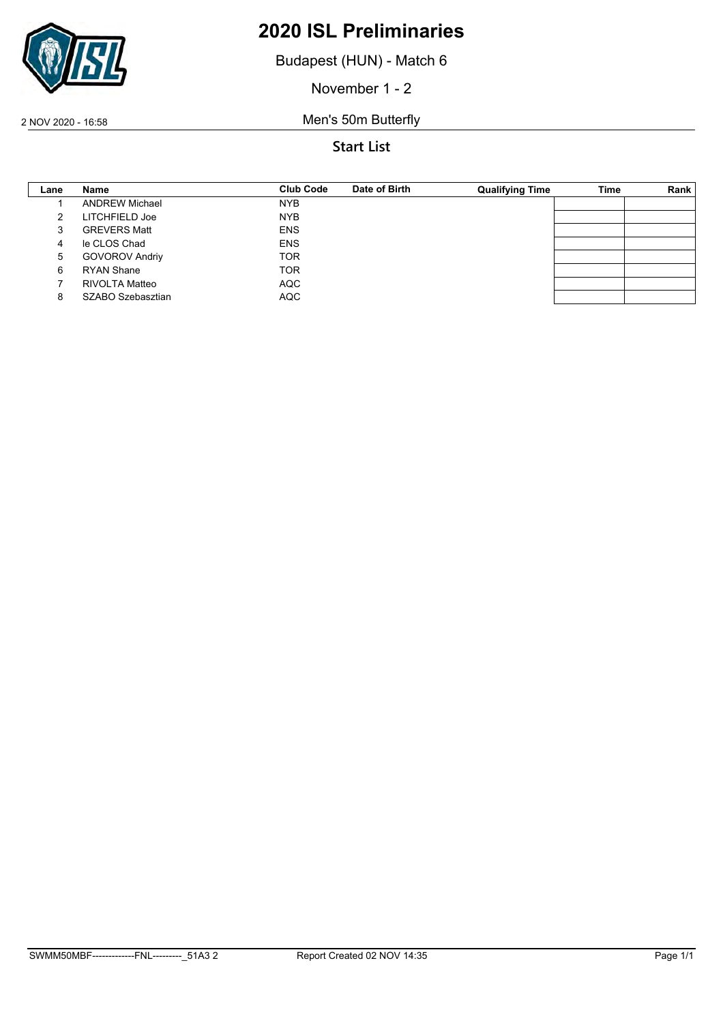

Budapest (HUN) - Match 6

November 1 - 2

2 NOV 2020 - 16:58 Men's 50m Butterfly

| Lane | Name                  | Club Code  | Date of Birth | <b>Qualifying Time</b> | <b>Time</b> | Rank |
|------|-----------------------|------------|---------------|------------------------|-------------|------|
|      | <b>ANDREW Michael</b> | <b>NYB</b> |               |                        |             |      |
|      | LITCHFIELD Joe        | <b>NYB</b> |               |                        |             |      |
|      | <b>GREVERS Matt</b>   | <b>ENS</b> |               |                        |             |      |
| 4    | le CLOS Chad          | <b>ENS</b> |               |                        |             |      |
| 5    | <b>GOVOROV Andriy</b> | <b>TOR</b> |               |                        |             |      |
| 6    | <b>RYAN Shane</b>     | <b>TOR</b> |               |                        |             |      |
|      | RIVOLTA Matteo        | <b>AQC</b> |               |                        |             |      |
|      | SZABO Szebasztian     | <b>AQC</b> |               |                        |             |      |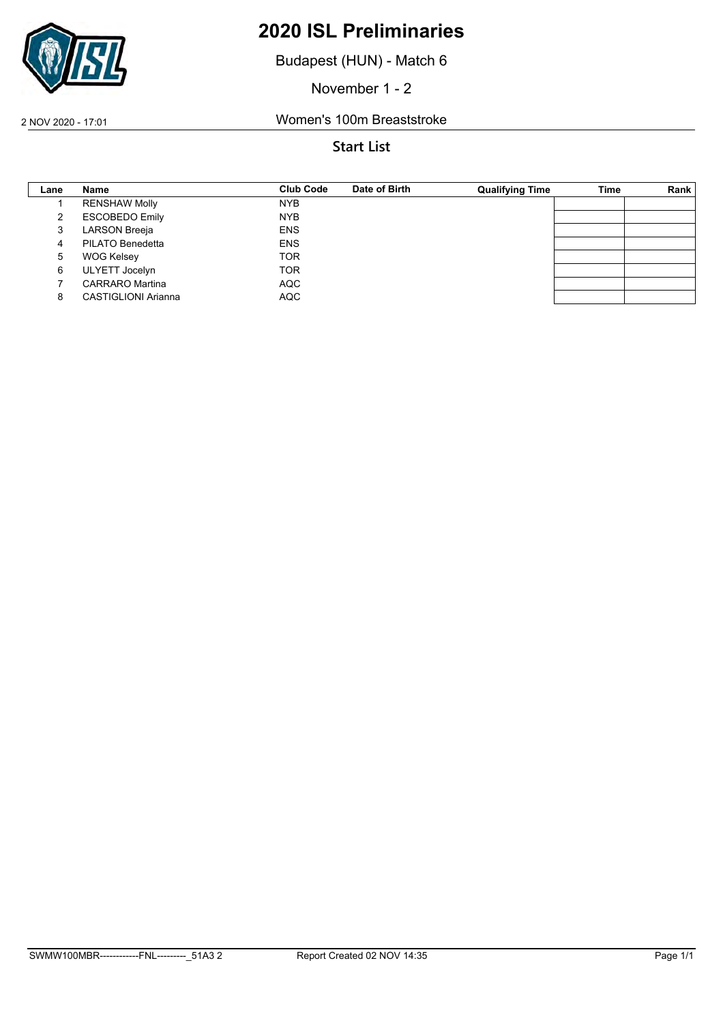

Budapest (HUN) - Match 6

November 1 - 2

2 NOV 2020 - 17:01 Women's 100m Breaststroke

| Lane | Name                       | <b>Club Code</b> | Date of Birth | <b>Qualifying Time</b> | Time | Rank |
|------|----------------------------|------------------|---------------|------------------------|------|------|
|      | <b>RENSHAW Molly</b>       | <b>NYB</b>       |               |                        |      |      |
|      | <b>ESCOBEDO Emily</b>      | <b>NYB</b>       |               |                        |      |      |
|      | <b>LARSON Breeja</b>       | <b>ENS</b>       |               |                        |      |      |
| 4    | PILATO Benedetta           | <b>ENS</b>       |               |                        |      |      |
| 5    | <b>WOG Kelsey</b>          | <b>TOR</b>       |               |                        |      |      |
| 6    | <b>ULYETT Jocelyn</b>      | <b>TOR</b>       |               |                        |      |      |
|      | <b>CARRARO</b> Martina     | <b>AQC</b>       |               |                        |      |      |
| 8    | <b>CASTIGLIONI Arianna</b> | <b>AQC</b>       |               |                        |      |      |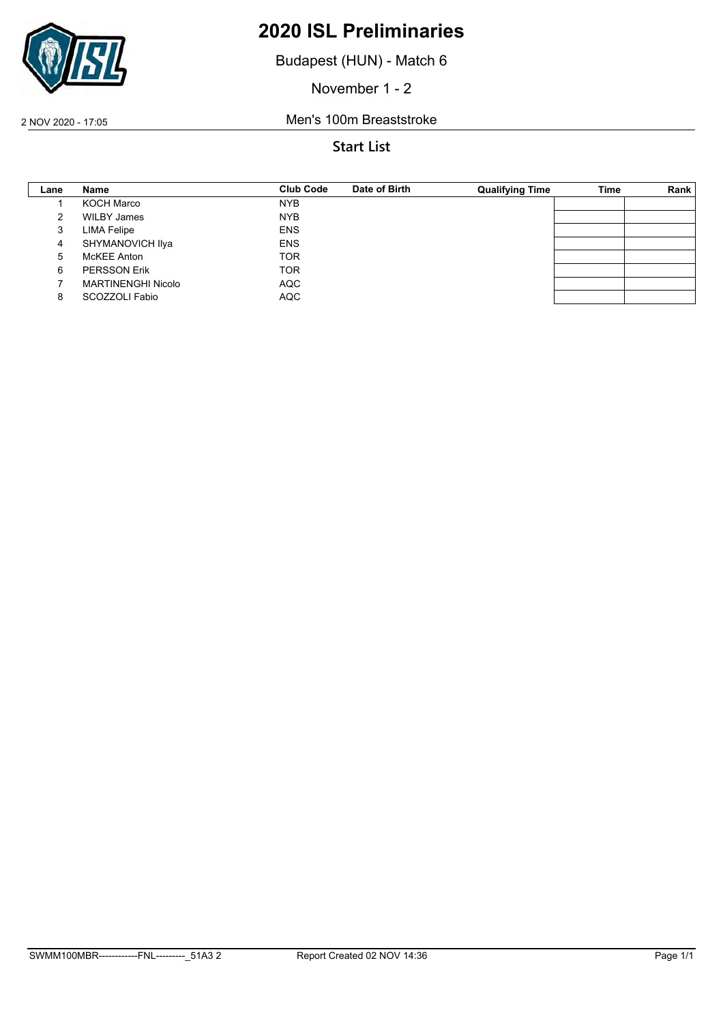

Budapest (HUN) - Match 6

November 1 - 2

2 NOV 2020 - 17:05 Men's 100m Breaststroke

| Lane | Name                      | <b>Club Code</b> | Date of Birth | <b>Qualifying Time</b> | Time | Rank |
|------|---------------------------|------------------|---------------|------------------------|------|------|
|      | KOCH Marco                | <b>NYB</b>       |               |                        |      |      |
| 2    | <b>WILBY James</b>        | <b>NYB</b>       |               |                        |      |      |
| 3    | <b>LIMA Felipe</b>        | <b>ENS</b>       |               |                        |      |      |
| 4    | SHYMANOVICH Ilya          | <b>ENS</b>       |               |                        |      |      |
| 5    | McKEE Anton               | <b>TOR</b>       |               |                        |      |      |
| 6    | <b>PERSSON Erik</b>       | <b>TOR</b>       |               |                        |      |      |
|      | <b>MARTINENGHI Nicolo</b> | <b>AQC</b>       |               |                        |      |      |
| 8    | SCOZZOLI Fabio            | <b>AQC</b>       |               |                        |      |      |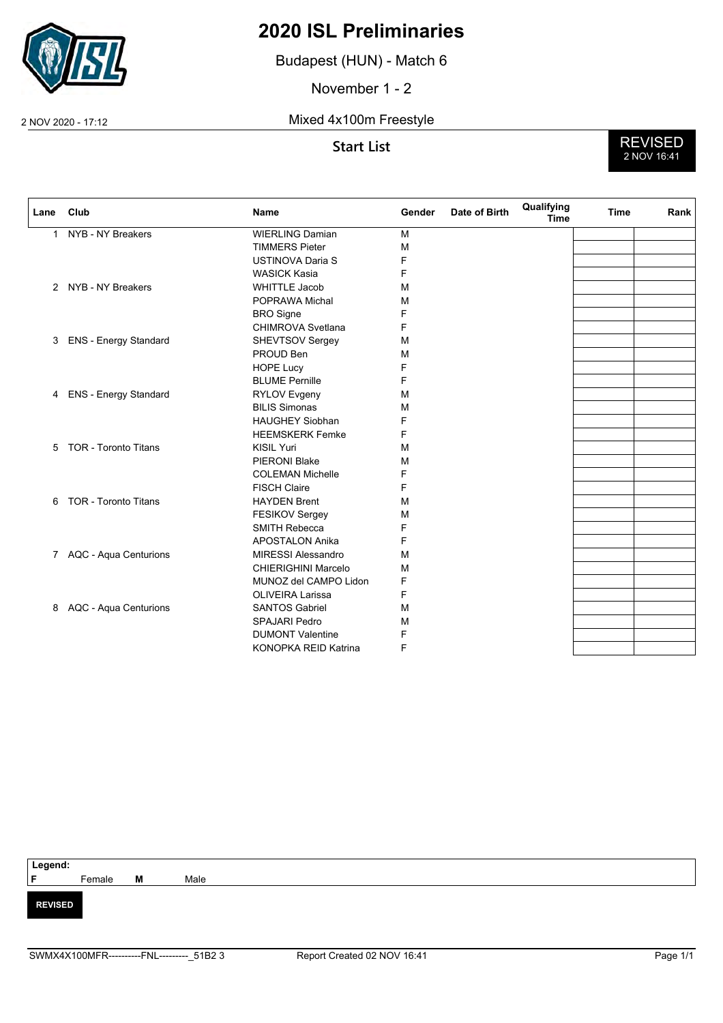

Budapest (HUN) - Match 6

November 1 - 2

2 NOV 2020 - 17:12 Mixed 4x100m Freestyle

**Start List** REVISED 2 NOV 16:41

| Lane         | Club                         | Name                       | Gender | Date of Birth | Qualifying<br><b>Time</b> | <b>Time</b> | Rank |
|--------------|------------------------------|----------------------------|--------|---------------|---------------------------|-------------|------|
| $\mathbf{1}$ | NYB - NY Breakers            | <b>WIERLING Damian</b>     | M      |               |                           |             |      |
|              |                              | <b>TIMMERS Pieter</b>      | M      |               |                           |             |      |
|              |                              | <b>USTINOVA Daria S</b>    | F      |               |                           |             |      |
|              |                              | <b>WASICK Kasia</b>        | F      |               |                           |             |      |
|              | 2 NYB - NY Breakers          | <b>WHITTLE Jacob</b>       | М      |               |                           |             |      |
|              |                              | POPRAWA Michal             | М      |               |                           |             |      |
|              |                              | <b>BRO</b> Signe           | F      |               |                           |             |      |
|              |                              | <b>CHIMROVA Svetlana</b>   | F      |               |                           |             |      |
| 3            | <b>ENS - Energy Standard</b> | SHEVTSOV Sergey            | М      |               |                           |             |      |
|              |                              | PROUD Ben                  | М      |               |                           |             |      |
|              |                              | <b>HOPE Lucy</b>           | F      |               |                           |             |      |
|              |                              | <b>BLUME Pernille</b>      | F      |               |                           |             |      |
| 4            | <b>ENS - Energy Standard</b> | <b>RYLOV Evgeny</b>        | М      |               |                           |             |      |
|              |                              | <b>BILIS Simonas</b>       | М      |               |                           |             |      |
|              |                              | <b>HAUGHEY Siobhan</b>     | F      |               |                           |             |      |
|              |                              | <b>HEEMSKERK Femke</b>     | F      |               |                           |             |      |
| 5            | <b>TOR - Toronto Titans</b>  | <b>KISIL Yuri</b>          | М      |               |                           |             |      |
|              |                              | PIERONI Blake              | М      |               |                           |             |      |
|              |                              | <b>COLEMAN Michelle</b>    | F      |               |                           |             |      |
|              |                              | <b>FISCH Claire</b>        | F      |               |                           |             |      |
| 6            | <b>TOR - Toronto Titans</b>  | <b>HAYDEN Brent</b>        | М      |               |                           |             |      |
|              |                              | <b>FESIKOV Sergey</b>      | М      |               |                           |             |      |
|              |                              | <b>SMITH Rebecca</b>       | F      |               |                           |             |      |
|              |                              | <b>APOSTALON Anika</b>     | F      |               |                           |             |      |
|              | 7 AQC - Aqua Centurions      | <b>MIRESSI Alessandro</b>  | М      |               |                           |             |      |
|              |                              | <b>CHIERIGHINI Marcelo</b> | M      |               |                           |             |      |
|              |                              | MUNOZ del CAMPO Lidon      | F      |               |                           |             |      |
|              |                              | <b>OLIVEIRA Larissa</b>    | F      |               |                           |             |      |
| 8            | AQC - Aqua Centurions        | <b>SANTOS Gabriel</b>      | М      |               |                           |             |      |
|              |                              | <b>SPAJARI Pedro</b>       | М      |               |                           |             |      |
|              |                              | <b>DUMONT Valentine</b>    | F      |               |                           |             |      |
|              |                              | KONOPKA REID Katrina       | F      |               |                           |             |      |

| Legend:<br>F<br>F<br>Female |   |      |
|-----------------------------|---|------|
|                             | M | Male |
|                             |   |      |
| <b>REVISED</b>              |   |      |
|                             |   |      |
|                             |   |      |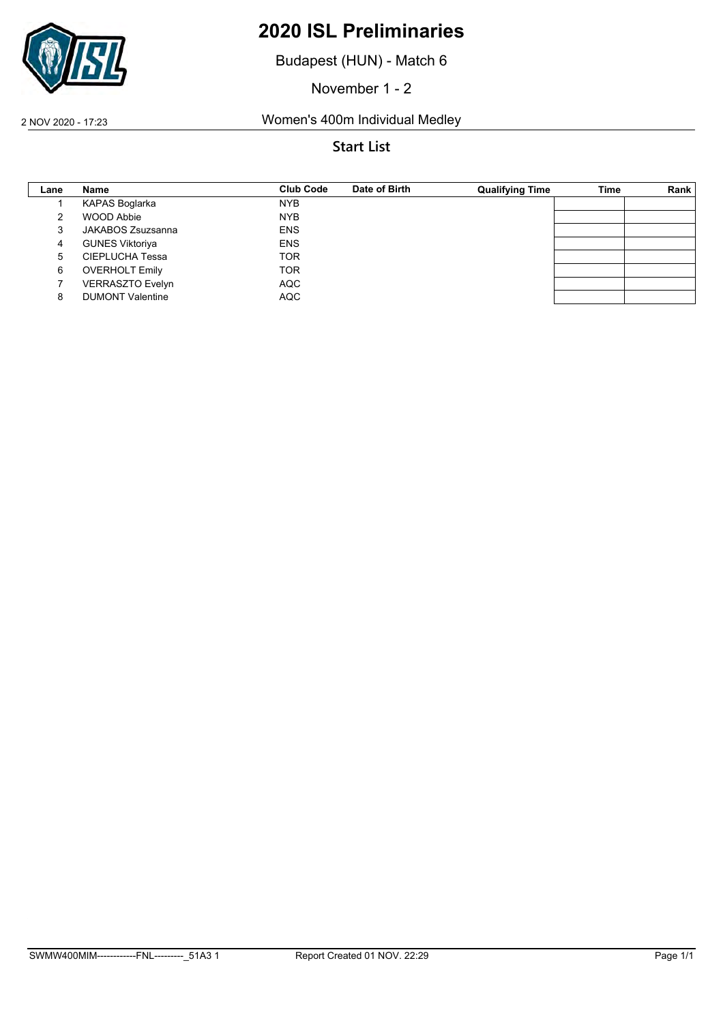

Budapest (HUN) - Match 6

November 1 - 2

2 NOV 2020 - 17:23 Women's 400m Individual Medley

| Lane | Name                    | <b>Club Code</b> | Date of Birth | <b>Qualifying Time</b> | Time | Rank |
|------|-------------------------|------------------|---------------|------------------------|------|------|
|      | KAPAS Boglarka          | <b>NYB</b>       |               |                        |      |      |
|      | WOOD Abbie              | <b>NYB</b>       |               |                        |      |      |
|      | JAKABOS Zsuzsanna       | <b>ENS</b>       |               |                        |      |      |
| 4    | <b>GUNES Viktoriya</b>  | <b>ENS</b>       |               |                        |      |      |
| 5    | CIEPLUCHA Tessa         | <b>TOR</b>       |               |                        |      |      |
| 6    | <b>OVERHOLT Emily</b>   | <b>TOR</b>       |               |                        |      |      |
|      | <b>VERRASZTO Evelyn</b> | <b>AQC</b>       |               |                        |      |      |
|      | <b>DUMONT Valentine</b> | <b>AQC</b>       |               |                        |      |      |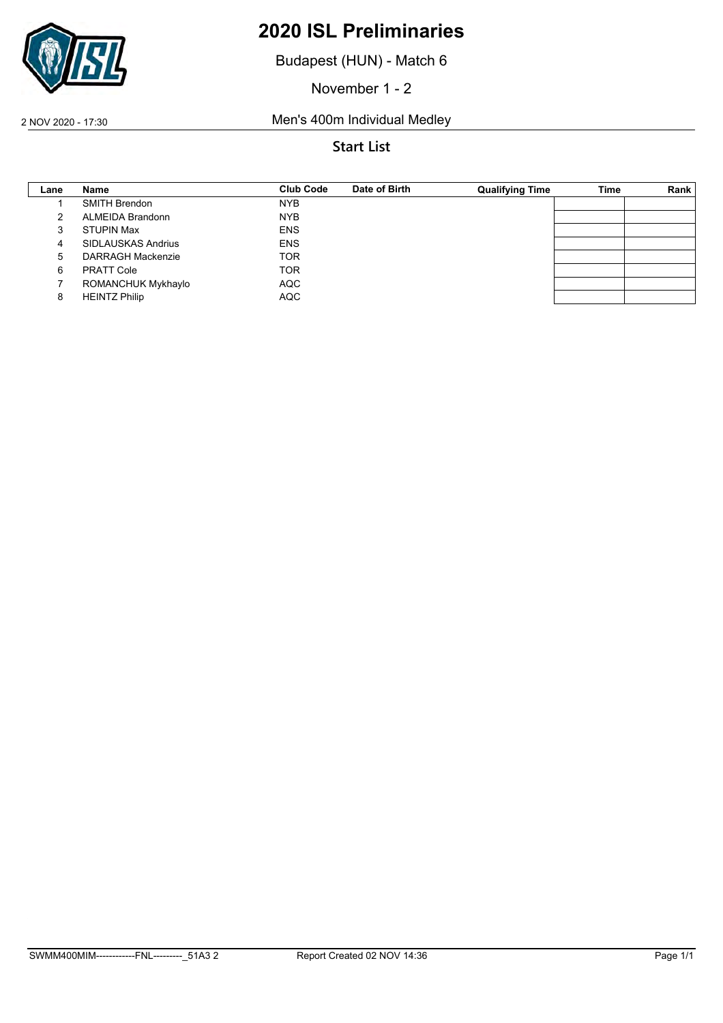

Budapest (HUN) - Match 6

November 1 - 2

2 NOV 2020 - 17:30 Men's 400m Individual Medley

| Lane | Name                      | <b>Club Code</b> | Date of Birth | <b>Qualifying Time</b> | Time | Rank |
|------|---------------------------|------------------|---------------|------------------------|------|------|
|      | <b>SMITH Brendon</b>      | <b>NYB</b>       |               |                        |      |      |
|      | <b>ALMEIDA Brandonn</b>   | <b>NYB</b>       |               |                        |      |      |
|      | <b>STUPIN Max</b>         | <b>ENS</b>       |               |                        |      |      |
| 4    | <b>SIDLAUSKAS Andrius</b> | <b>ENS</b>       |               |                        |      |      |
| 5    | <b>DARRAGH Mackenzie</b>  | <b>TOR</b>       |               |                        |      |      |
| 6    | <b>PRATT Cole</b>         | <b>TOR</b>       |               |                        |      |      |
|      | ROMANCHUK Mykhaylo        | <b>AQC</b>       |               |                        |      |      |
|      | <b>HEINTZ Philip</b>      | <b>AQC</b>       |               |                        |      |      |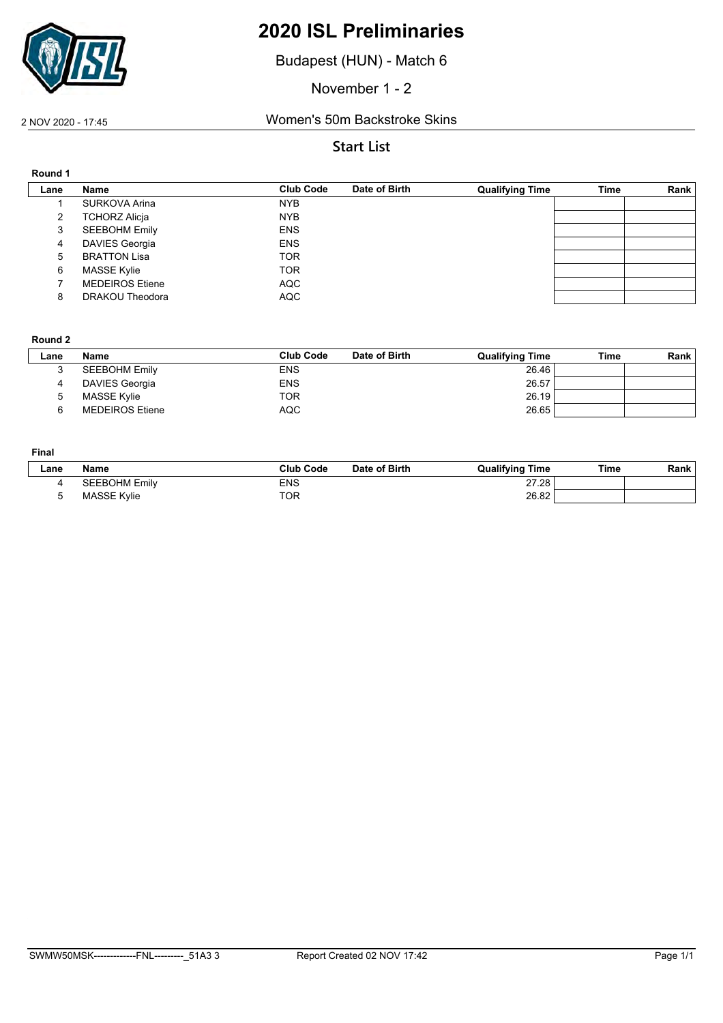

Budapest (HUN) - Match 6

November 1 - 2

#### 2 NOV 2020 - 17:45 Women's 50m Backstroke Skins

#### **Start List**

| Round 1 |                        |                  |               |                        |             |      |
|---------|------------------------|------------------|---------------|------------------------|-------------|------|
| Lane    | Name                   | <b>Club Code</b> | Date of Birth | <b>Qualifying Time</b> | <b>Time</b> | Rank |
|         | SURKOVA Arina          | <b>NYB</b>       |               |                        |             |      |
| 2       | <b>TCHORZ Alicja</b>   | <b>NYB</b>       |               |                        |             |      |
| 3       | <b>SEEBOHM Emily</b>   | <b>ENS</b>       |               |                        |             |      |
| 4       | <b>DAVIES Georgia</b>  | <b>ENS</b>       |               |                        |             |      |
| 5       | <b>BRATTON Lisa</b>    | <b>TOR</b>       |               |                        |             |      |
| 6       | MASSE Kylie            | <b>TOR</b>       |               |                        |             |      |
|         | <b>MEDEIROS Etiene</b> | <b>AQC</b>       |               |                        |             |      |
| 8       | <b>DRAKOU Theodora</b> | <b>AQC</b>       |               |                        |             |      |

#### **Round 2**

| ∟ane | <b>Name</b>            | <b>Club Code</b> | Date of Birth | <b>Qualifying Time</b> | Time | Rank |
|------|------------------------|------------------|---------------|------------------------|------|------|
|      | <b>SEEBOHM Emily</b>   | <b>ENS</b>       |               | 26.46                  |      |      |
|      | DAVIES Georgia         | <b>ENS</b>       |               | 26.57                  |      |      |
|      | MASSE Kylie            | TOR              |               | 26.19                  |      |      |
|      | <b>MEDEIROS Etiene</b> | <b>AQC</b>       |               | 26.65                  |      |      |

#### **Final**

| ∟ane | <b>Name</b>          | <b>Club Code</b> | Date of Birth | <b>Qualifying Time</b> | Time | Rank |
|------|----------------------|------------------|---------------|------------------------|------|------|
|      | <b>SEEBOHM Emily</b> | ENS              |               | 27.28                  |      |      |
|      | <b>MASSE Kylie</b>   | <b>TOR</b>       |               | 26.82                  |      |      |